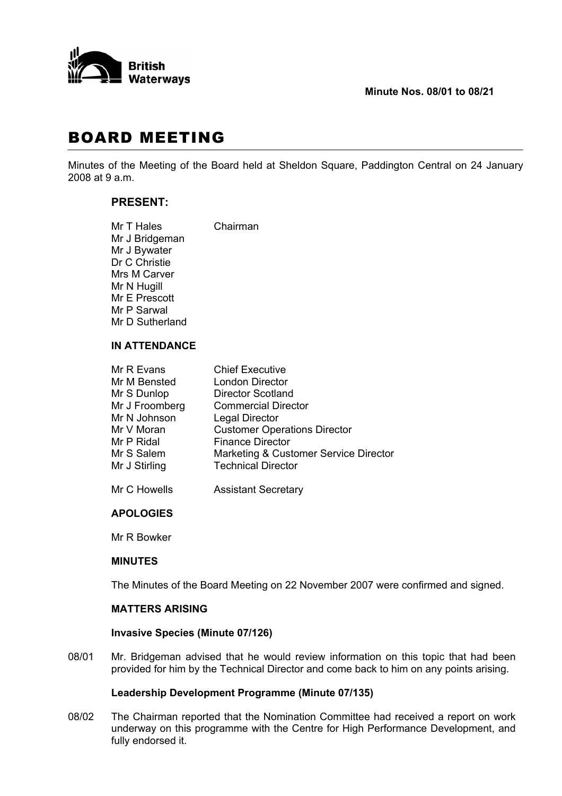

## **Minute Nos. 08/01 to 08/21**

# BOARD MEETING

Minutes of the Meeting of the Board held at Sheldon Square, Paddington Central on 24 January 2008 at 9 a.m.

# **PRESENT:**

| Mr T Hales      | Chairman |
|-----------------|----------|
| Mr J Bridgeman  |          |
| Mr J Bywater    |          |
| Dr C Christie   |          |
| Mrs M Carver    |          |
| Mr N Hugill     |          |
| Mr E Prescott   |          |
| Mr P Sarwal     |          |
| Mr D Sutherland |          |
|                 |          |

#### **IN ATTENDANCE**

| Mr R Evans     | <b>Chief Executive</b>                |
|----------------|---------------------------------------|
| Mr M Bensted   | <b>London Director</b>                |
| Mr S Dunlop    | <b>Director Scotland</b>              |
| Mr J Froomberg | <b>Commercial Director</b>            |
| Mr N Johnson   | <b>Legal Director</b>                 |
| Mr V Moran     | <b>Customer Operations Director</b>   |
| Mr P Ridal     | <b>Finance Director</b>               |
| Mr S Salem     | Marketing & Customer Service Director |
| Mr J Stirling  | <b>Technical Director</b>             |
|                |                                       |

Mr C Howells **Assistant Secretary** 

## **APOLOGIES**

Mr R Bowker

#### **MINUTES**

The Minutes of the Board Meeting on 22 November 2007 were confirmed and signed.

## **MATTERS ARISING**

#### **Invasive Species (Minute 07/126)**

08/01 Mr. Bridgeman advised that he would review information on this topic that had been provided for him by the Technical Director and come back to him on any points arising.

## **Leadership Development Programme (Minute 07/135)**

08/02 The Chairman reported that the Nomination Committee had received a report on work underway on this programme with the Centre for High Performance Development, and fully endorsed it.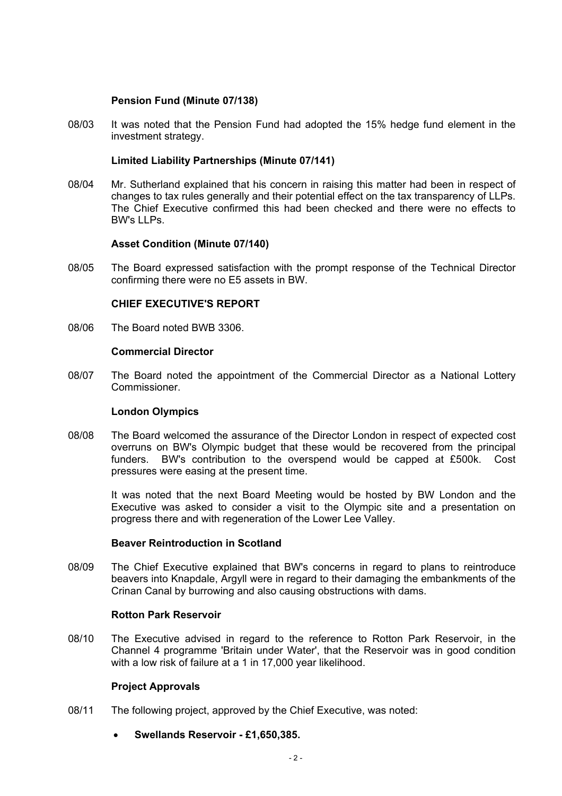## **Pension Fund (Minute 07/138)**

08/03 It was noted that the Pension Fund had adopted the 15% hedge fund element in the investment strategy.

## **Limited Liability Partnerships (Minute 07/141)**

08/04 Mr. Sutherland explained that his concern in raising this matter had been in respect of changes to tax rules generally and their potential effect on the tax transparency of LLPs. The Chief Executive confirmed this had been checked and there were no effects to BW's LLPs.

## **Asset Condition (Minute 07/140)**

08/05 The Board expressed satisfaction with the prompt response of the Technical Director confirming there were no E5 assets in BW.

## **CHIEF EXECUTIVE'S REPORT**

08/06 The Board noted BWB 3306.

## **Commercial Director**

08/07 The Board noted the appointment of the Commercial Director as a National Lottery Commissioner.

#### **London Olympics**

08/08 The Board welcomed the assurance of the Director London in respect of expected cost overruns on BW's Olympic budget that these would be recovered from the principal funders. BW's contribution to the overspend would be capped at £500k. Cost pressures were easing at the present time.

 It was noted that the next Board Meeting would be hosted by BW London and the Executive was asked to consider a visit to the Olympic site and a presentation on progress there and with regeneration of the Lower Lee Valley.

#### **Beaver Reintroduction in Scotland**

08/09 The Chief Executive explained that BW's concerns in regard to plans to reintroduce beavers into Knapdale, Argyll were in regard to their damaging the embankments of the Crinan Canal by burrowing and also causing obstructions with dams.

#### **Rotton Park Reservoir**

08/10 The Executive advised in regard to the reference to Rotton Park Reservoir, in the Channel 4 programme 'Britain under Water', that the Reservoir was in good condition with a low risk of failure at a 1 in 17,000 year likelihood.

#### **Project Approvals**

- 08/11 The following project, approved by the Chief Executive, was noted:
	- **Swellands Reservoir £1,650,385.**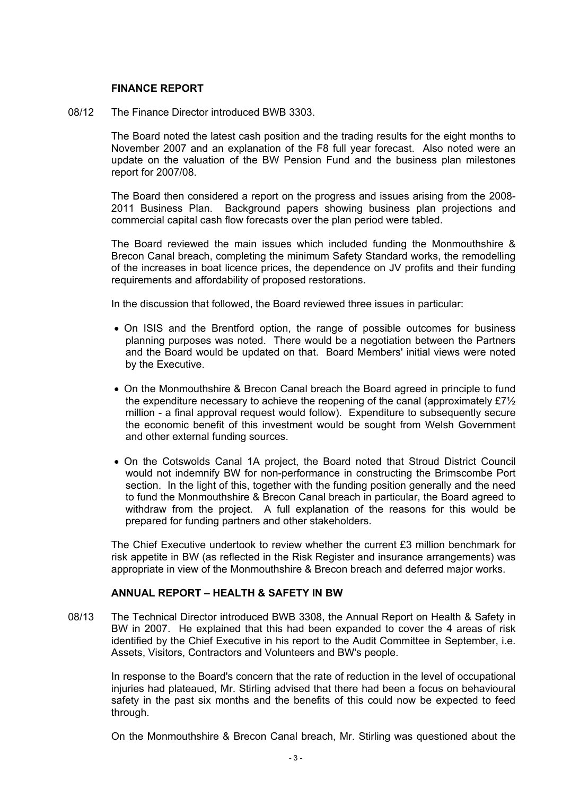## **FINANCE REPORT**

08/12 The Finance Director introduced BWB 3303.

 The Board noted the latest cash position and the trading results for the eight months to November 2007 and an explanation of the F8 full year forecast. Also noted were an update on the valuation of the BW Pension Fund and the business plan milestones report for 2007/08.

 The Board then considered a report on the progress and issues arising from the 2008- 2011 Business Plan. Background papers showing business plan projections and commercial capital cash flow forecasts over the plan period were tabled.

 The Board reviewed the main issues which included funding the Monmouthshire & Brecon Canal breach, completing the minimum Safety Standard works, the remodelling of the increases in boat licence prices, the dependence on JV profits and their funding requirements and affordability of proposed restorations.

In the discussion that followed, the Board reviewed three issues in particular:

- On ISIS and the Brentford option, the range of possible outcomes for business planning purposes was noted. There would be a negotiation between the Partners and the Board would be updated on that. Board Members' initial views were noted by the Executive.
- On the Monmouthshire & Brecon Canal breach the Board agreed in principle to fund the expenditure necessary to achieve the reopening of the canal (approximately £7½ million - a final approval request would follow). Expenditure to subsequently secure the economic benefit of this investment would be sought from Welsh Government and other external funding sources.
- On the Cotswolds Canal 1A project, the Board noted that Stroud District Council would not indemnify BW for non-performance in constructing the Brimscombe Port section. In the light of this, together with the funding position generally and the need to fund the Monmouthshire & Brecon Canal breach in particular, the Board agreed to withdraw from the project. A full explanation of the reasons for this would be prepared for funding partners and other stakeholders.

 The Chief Executive undertook to review whether the current £3 million benchmark for risk appetite in BW (as reflected in the Risk Register and insurance arrangements) was appropriate in view of the Monmouthshire & Brecon breach and deferred major works.

#### **ANNUAL REPORT – HEALTH & SAFETY IN BW**

08/13 The Technical Director introduced BWB 3308, the Annual Report on Health & Safety in BW in 2007. He explained that this had been expanded to cover the 4 areas of risk identified by the Chief Executive in his report to the Audit Committee in September, i.e. Assets, Visitors, Contractors and Volunteers and BW's people.

 In response to the Board's concern that the rate of reduction in the level of occupational injuries had plateaued, Mr. Stirling advised that there had been a focus on behavioural safety in the past six months and the benefits of this could now be expected to feed through.

On the Monmouthshire & Brecon Canal breach, Mr. Stirling was questioned about the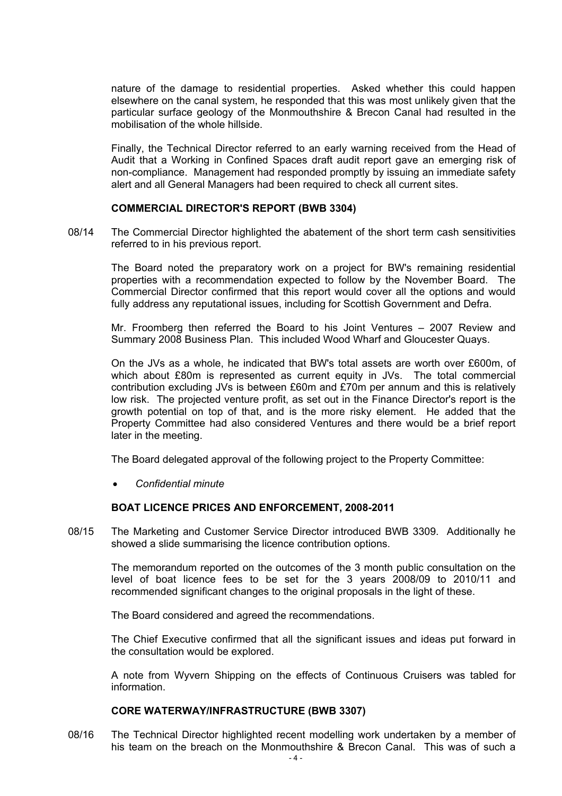nature of the damage to residential properties. Asked whether this could happen elsewhere on the canal system, he responded that this was most unlikely given that the particular surface geology of the Monmouthshire & Brecon Canal had resulted in the mobilisation of the whole hillside.

 Finally, the Technical Director referred to an early warning received from the Head of Audit that a Working in Confined Spaces draft audit report gave an emerging risk of non-compliance. Management had responded promptly by issuing an immediate safety alert and all General Managers had been required to check all current sites.

## **COMMERCIAL DIRECTOR'S REPORT (BWB 3304)**

08/14 The Commercial Director highlighted the abatement of the short term cash sensitivities referred to in his previous report.

 The Board noted the preparatory work on a project for BW's remaining residential properties with a recommendation expected to follow by the November Board. The Commercial Director confirmed that this report would cover all the options and would fully address any reputational issues, including for Scottish Government and Defra.

 Mr. Froomberg then referred the Board to his Joint Ventures – 2007 Review and Summary 2008 Business Plan. This included Wood Wharf and Gloucester Quays.

 On the JVs as a whole, he indicated that BW's total assets are worth over £600m, of which about £80m is represented as current equity in JVs. The total commercial contribution excluding JVs is between £60m and £70m per annum and this is relatively low risk. The projected venture profit, as set out in the Finance Director's report is the growth potential on top of that, and is the more risky element. He added that the Property Committee had also considered Ventures and there would be a brief report later in the meeting.

The Board delegated approval of the following project to the Property Committee:

• *Confidential minute* 

## **BOAT LICENCE PRICES AND ENFORCEMENT, 2008-2011**

08/15 The Marketing and Customer Service Director introduced BWB 3309. Additionally he showed a slide summarising the licence contribution options.

 The memorandum reported on the outcomes of the 3 month public consultation on the level of boat licence fees to be set for the 3 years 2008/09 to 2010/11 and recommended significant changes to the original proposals in the light of these.

The Board considered and agreed the recommendations.

 The Chief Executive confirmed that all the significant issues and ideas put forward in the consultation would be explored.

 A note from Wyvern Shipping on the effects of Continuous Cruisers was tabled for information.

#### **CORE WATERWAY/INFRASTRUCTURE (BWB 3307)**

08/16 The Technical Director highlighted recent modelling work undertaken by a member of his team on the breach on the Monmouthshire & Brecon Canal. This was of such a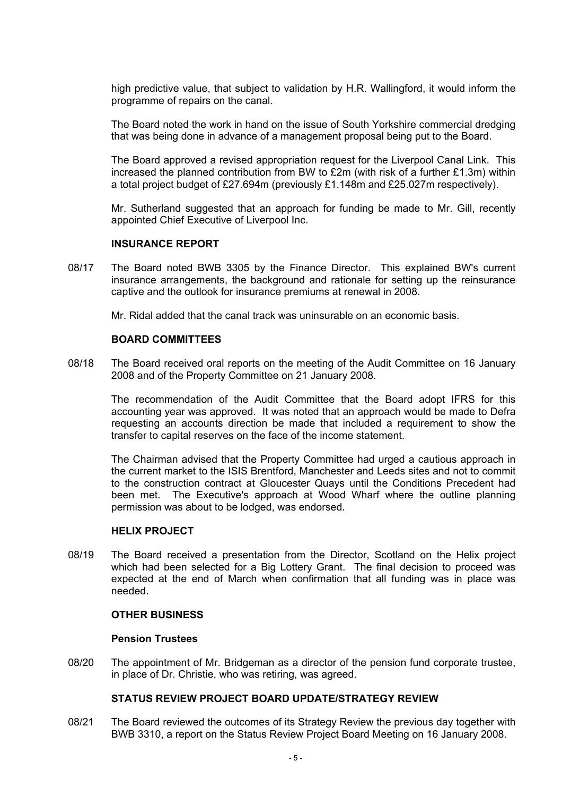high predictive value, that subject to validation by H.R. Wallingford, it would inform the programme of repairs on the canal.

 The Board noted the work in hand on the issue of South Yorkshire commercial dredging that was being done in advance of a management proposal being put to the Board.

 The Board approved a revised appropriation request for the Liverpool Canal Link. This increased the planned contribution from BW to  $£2m$  (with risk of a further  $£1.3m$ ) within a total project budget of £27.694m (previously £1.148m and £25.027m respectively).

 Mr. Sutherland suggested that an approach for funding be made to Mr. Gill, recently appointed Chief Executive of Liverpool Inc.

## **INSURANCE REPORT**

08/17 The Board noted BWB 3305 by the Finance Director. This explained BW's current insurance arrangements, the background and rationale for setting up the reinsurance captive and the outlook for insurance premiums at renewal in 2008.

Mr. Ridal added that the canal track was uninsurable on an economic basis.

#### **BOARD COMMITTEES**

08/18 The Board received oral reports on the meeting of the Audit Committee on 16 January 2008 and of the Property Committee on 21 January 2008.

 The recommendation of the Audit Committee that the Board adopt IFRS for this accounting year was approved. It was noted that an approach would be made to Defra requesting an accounts direction be made that included a requirement to show the transfer to capital reserves on the face of the income statement.

 The Chairman advised that the Property Committee had urged a cautious approach in the current market to the ISIS Brentford, Manchester and Leeds sites and not to commit to the construction contract at Gloucester Quays until the Conditions Precedent had been met. The Executive's approach at Wood Wharf where the outline planning permission was about to be lodged, was endorsed.

#### **HELIX PROJECT**

08/19 The Board received a presentation from the Director, Scotland on the Helix project which had been selected for a Big Lottery Grant. The final decision to proceed was expected at the end of March when confirmation that all funding was in place was needed.

#### **OTHER BUSINESS**

#### **Pension Trustees**

08/20 The appointment of Mr. Bridgeman as a director of the pension fund corporate trustee, in place of Dr. Christie, who was retiring, was agreed.

## **STATUS REVIEW PROJECT BOARD UPDATE/STRATEGY REVIEW**

08/21 The Board reviewed the outcomes of its Strategy Review the previous day together with BWB 3310, a report on the Status Review Project Board Meeting on 16 January 2008.